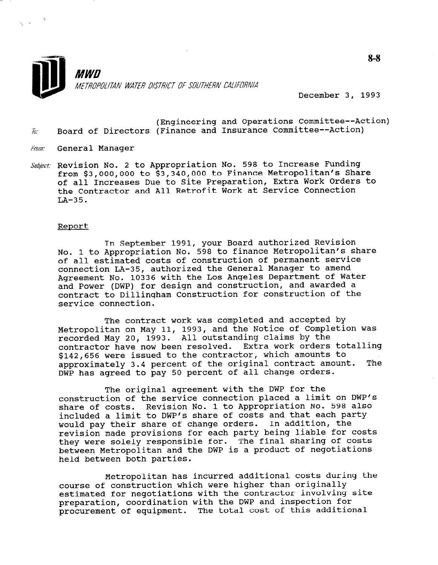

December 3, 1993

- (Engineering and Operations Committee--Action)  $\bar{h}$ : Board of Directors (Finance and Insurance Committee--Action)
- From: General Manager

 $\tilde{\gamma}_p = \tilde{\gamma}_p$ 

Subject: Revision No. 2 to Appropriation No. 598 to Increase Funding from \$3,000,000 to \$3,340,000 to Finance Metropolitan's Share of all Increases Due to Site Preparation, Extra Work Orders to the Contractor and All Retrofit Work at Service Connection  $LA-35.$ 

### Report

In September 1991, your Board authorized Revision No. 1 to Appropriation No. 598 to finance Metropolitan's share of all estimated costs of construction of permanent service connection LA-35, authorized the General Manager to amend Agreement No. 10336 with the Los Angeles Department of Water and Power (DWP) for design and construction, and awarded a contract to Dillingham Construction for construction of the service connection.

The contract work was completed and accepted by Metropolitan on May 11, 1993, and the Notice of Completion was recorded May 20, 1993. All outstanding claims by the contractor have now been resolved. Extra work orders totalling \$142,656 were issued to the contractor, which amounts to approximately 3.4 percent of the original contract amount. The DWP has agreed to pay 50 percent of all change orders.

The original agreement with the DWP for the construction of the service connection placed a limit on DWP's share of costs. Revision No. 1 to Appropriation No. 598 also included a limit to DWP's share of costs and that each party would pay their share of change orders. In addition, the revision made provisions for each party being liable for costs they were solely responsible for. The final sharing of costs between Metropolitan and the DWP is a product of negotiations held between both parties.

Metropolitan has incurred additional costs during the course of construction which were higher than originally estimated for negotiations with the contractor involving site preparation, coordination with the DWP and inspection for procurement of equipment. The total cost of this additional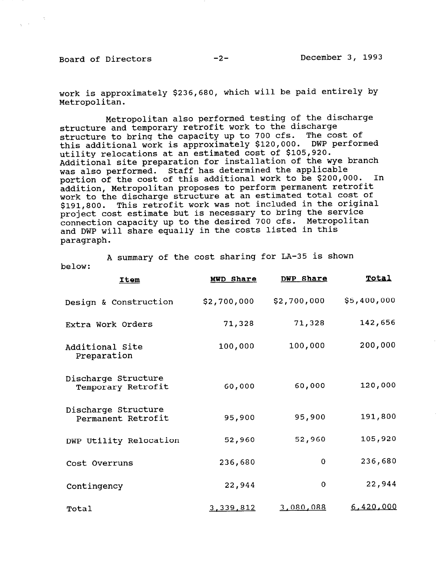Board of Directors -2- December 3, 1993

 $\sqrt{1+\epsilon}$ 

work is approximately \$236,680, which will be paid entirely by Metropolitan.

Metropolitan also performed testing of the discharge structure and temporary retrofit work to the discharge structure to bring the capacity up to 700 cfs. The cost of this additional work is approximately \$120,000. DWP performe utility relocations at an estimated cost of \$105,920. Additional site preparation for installation of the wye branch was also performed. Staff has determined the applicable portion of the cost of this additional work to be \$200,000. In addition, Metropolitan proposes to perform permanent retrofit work to the discharge structure at an estimated total cost of \$191,800. This retrofit work was not included in the original project cost estimate but is necessary to bring the service connection capacity up to the desired 700 cfs. Metropolitan and DWP will share equally in the costs listed in this paragraph.

A summary of the cost sharing for LA-35 is shown below:

| <b>Item</b>                               | MWD Share   | DWP Share   | Total       |
|-------------------------------------------|-------------|-------------|-------------|
| Design & Construction                     | \$2,700,000 | \$2,700,000 | \$5,400,000 |
| Extra Work Orders                         | 71,328      | 71,328      | 142,656     |
| Additional Site<br>Preparation            | 100,000     | 100,000     | 200,000     |
| Discharge Structure<br>Temporary Retrofit | 60,000      | 60,000      | 120,000     |
| Discharge Structure<br>Permanent Retrofit | 95,900      | 95,900      | 191,800     |
| DWP Utility Relocation                    | 52,960      | 52,960      | 105,920     |
| Cost Overruns                             | 236,680     | $\Omega$    | 236,680     |
| Contingency                               | 22,944      | $\mathbf 0$ | 22,944      |
| Total                                     | 3,339,812   | 3,080,088   | 6,420,000   |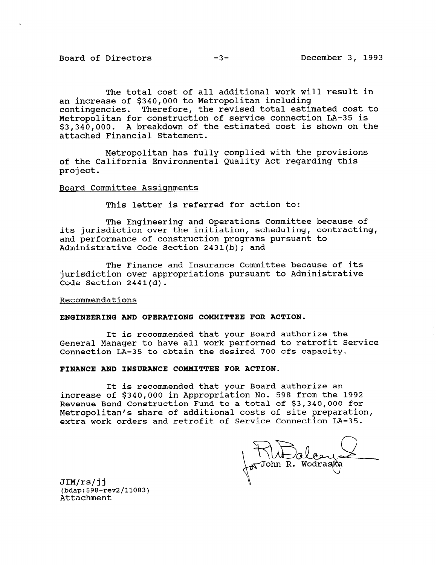The total cost of all additional work will result in an increase of \$340,000 to Metropolitan including contingencies. Therefore, the revised total estimated cost to Metropolitan for construction of service connection IA-35 is \$3,340,000. A breakdown of the estimated cost is shown on the attached Financial Statement.

Metropolitan has fully complied with the provisions of the California Environmental Quality Act regarding this project.

## Board Committee Assignments

This letter is referred for action to:

The Engineering and Operations Committee because of its jurisdiction over the initiation, scheduling, contracting, and performance of construction programs pursuant to Administrative Code Section 2431(b); and

The Finance and Insurance Committee because of its jurisdiction over appropriations pursuant to Administrative Code Section 2441(d).

#### Recommendations

#### ENGINEERING AND OPERATIONS COMMITTEE FOR ACTION.

It is recommended that your Board authorize the General Manager to have all work performed to retrofit Service Connection LA-35 to obtain the desired 700 cfs capacity.

## FINANCE AND INSURANCE COMMITTEE FOR ACTION.

It is recommended that your Board authorize an increase of \$340,000 in Appropriation No. 598 from the 1992 Revenue Bond Construction Fund to a total of \$3,340,000 for Metropolitan's share of additional costs of site preparation, extra work orders and retrofit of Service Connection LA-35.

John R. Wodras*i*k

JIM/rs/jj  $(1, 1, 1)$  $($ bda $p$ : 598 $\cdot$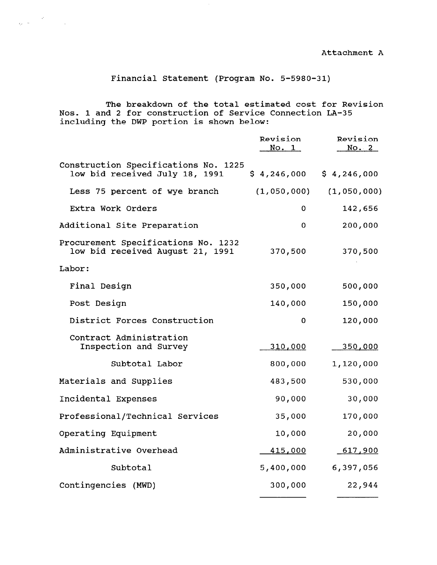# Financial Statement (Program No. 5-5980-31)

 $\label{eq:QCD} Q_{\mu\nu} = \frac{Q_{\mu\nu}}{2\pi} \left[ \frac{Q_{\mu\nu}}{2\pi} \right] \left[ \frac{Q_{\mu\nu}}{2\pi} \right] \left[ \frac{Q_{\mu\nu}}{2\pi} \right] \left[ \frac{Q_{\mu\nu}}{2\pi} \right] \left[ \frac{Q_{\mu\nu}}{2\pi} \right] \left[ \frac{Q_{\mu\nu}}{2\pi} \right] \left[ \frac{Q_{\mu\nu}}{2\pi} \right] \left[ \frac{Q_{\mu\nu}}{2\pi} \right] \left[ \frac{Q_{\mu\nu}}{2\pi} \right]$ 

The breakdown of the total estimated cost for Revision Nos. 1 and 2 for construction of Service Connection LA-35 including the DWP portion is shown below:

|                                                                         | Revision<br>No. 1 | Revision<br>No. 2         |
|-------------------------------------------------------------------------|-------------------|---------------------------|
| Construction Specifications No. 1225<br>low bid received July 18, 1991  |                   | $$4,246,000 \t$4,246,000$ |
| Less 75 percent of wye branch                                           | (1,050,000)       | (1,050,000)               |
| Extra Work Orders                                                       | 0                 | 142,656                   |
| Additional Site Preparation                                             | 0.                | 200,000                   |
| Procurement Specifications No. 1232<br>low bid received August 21, 1991 | 370,500           | 370,500                   |
| Labor:                                                                  |                   |                           |
| Final Design                                                            | 350,000           | 500,000                   |
| Post Design                                                             | 140,000           | 150,000                   |
| District Forces Construction                                            | 0                 | 120,000                   |
| Contract Administration<br>Inspection and Survey                        | <u>310,000</u>    | 350,000                   |
| Subtotal Labor                                                          | 800,000           | 1,120,000                 |
| Materials and Supplies                                                  | 483,500           | 530,000                   |
| Incidental Expenses                                                     | 90,000            | 30,000                    |
| Professional/Technical Services                                         | 35,000            | 170,000                   |
| Operating Equipment                                                     | 10,000            | 20,000                    |
| Administrative Overhead                                                 | <u>415,000</u>    | 617,900                   |
| Subtotal                                                                | 5,400,000         | 6,397,056                 |
| Contingencies (MWD)                                                     | 300,000           | 22,944                    |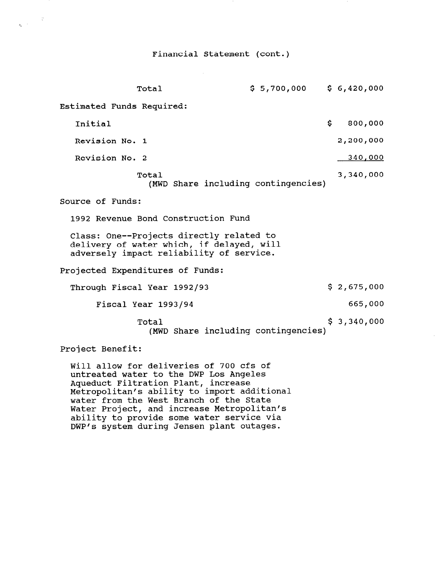## Financial Statement (cont.)

 $\label{eq:2.1} \frac{c_1}{c_2} = \frac{1}{c_1} \left( \frac{1}{c_1} \right)$ 

| Total                                                                                                                                                                                                              | $$5,700,000$ $$6,420,000$           |               |
|--------------------------------------------------------------------------------------------------------------------------------------------------------------------------------------------------------------------|-------------------------------------|---------------|
| Estimated Funds Required:                                                                                                                                                                                          |                                     |               |
| Initial                                                                                                                                                                                                            |                                     | \$<br>800,000 |
| Revision No. 1                                                                                                                                                                                                     |                                     | 2,200,000     |
| Revision No. 2                                                                                                                                                                                                     |                                     | 340,000       |
| Total                                                                                                                                                                                                              | (MWD Share including contingencies) | 3,340,000     |
| Source of Funds:                                                                                                                                                                                                   |                                     |               |
| 1992 Revenue Bond Construction Fund                                                                                                                                                                                |                                     |               |
| Class: One--Projects directly related to<br>delivery of water which, if delayed, will<br>adversely impact reliability of service.                                                                                  |                                     |               |
| Projected Expenditures of Funds:                                                                                                                                                                                   |                                     |               |
| Through Fiscal Year 1992/93                                                                                                                                                                                        |                                     | \$2,675,000   |
| Fiscal Year 1993/94                                                                                                                                                                                                |                                     | 665,000       |
| Total                                                                                                                                                                                                              | (MWD Share including contingencies) | \$3,340,000   |
| Project Benefit:                                                                                                                                                                                                   |                                     |               |
| Will allow for deliveries of 700 cfs of<br>untreated water to the DWP Los Angeles<br>Aqueduct Filtration Plant, increase<br>Metropolitan's ability to import additional<br>inter from the Mest Brongh of the Ctote |                                     |               |

nater rroject, and increase neeroporrean ability to provide some water service w

water from the west branch of the sta